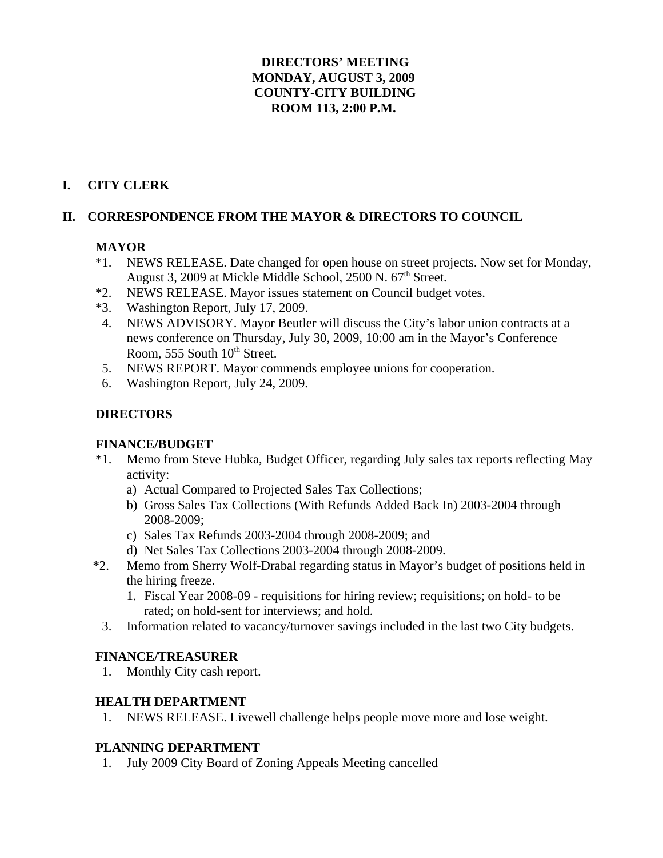### **DIRECTORS' MEETING MONDAY, AUGUST 3, 2009 COUNTY-CITY BUILDING ROOM 113, 2:00 P.M.**

## **I. CITY CLERK**

### **II. CORRESPONDENCE FROM THE MAYOR & DIRECTORS TO COUNCIL**

## **MAYOR**

- \*1. NEWS RELEASE. Date changed for open house on street projects. Now set for Monday, August 3, 2009 at Mickle Middle School, 2500 N, 67<sup>th</sup> Street.
- \*2. NEWS RELEASE. Mayor issues statement on Council budget votes.
- \*3. Washington Report, July 17, 2009.
- 4. NEWS ADVISORY. Mayor Beutler will discuss the City's labor union contracts at a news conference on Thursday, July 30, 2009, 10:00 am in the Mayor's Conference Room, 555 South 10<sup>th</sup> Street.
- 5. NEWS REPORT. Mayor commends employee unions for cooperation.
- 6. Washington Report, July 24, 2009.

## **DIRECTORS**

### **FINANCE/BUDGET**

- \*1. Memo from Steve Hubka, Budget Officer, regarding July sales tax reports reflecting May activity:
	- a) Actual Compared to Projected Sales Tax Collections;
	- b) Gross Sales Tax Collections (With Refunds Added Back In) 2003-2004 through 2008-2009;
	- c) Sales Tax Refunds 2003-2004 through 2008-2009; and
	- d) Net Sales Tax Collections 2003-2004 through 2008-2009.
- \*2. Memo from Sherry Wolf-Drabal regarding status in Mayor's budget of positions held in the hiring freeze.
	- 1. Fiscal Year 2008-09 requisitions for hiring review; requisitions; on hold- to be rated; on hold-sent for interviews; and hold.
	- 3. Information related to vacancy/turnover savings included in the last two City budgets.

### **FINANCE/TREASURER**

1. Monthly City cash report.

#### **HEALTH DEPARTMENT**

1. NEWS RELEASE. Livewell challenge helps people move more and lose weight.

### **PLANNING DEPARTMENT**

1. July 2009 City Board of Zoning Appeals Meeting cancelled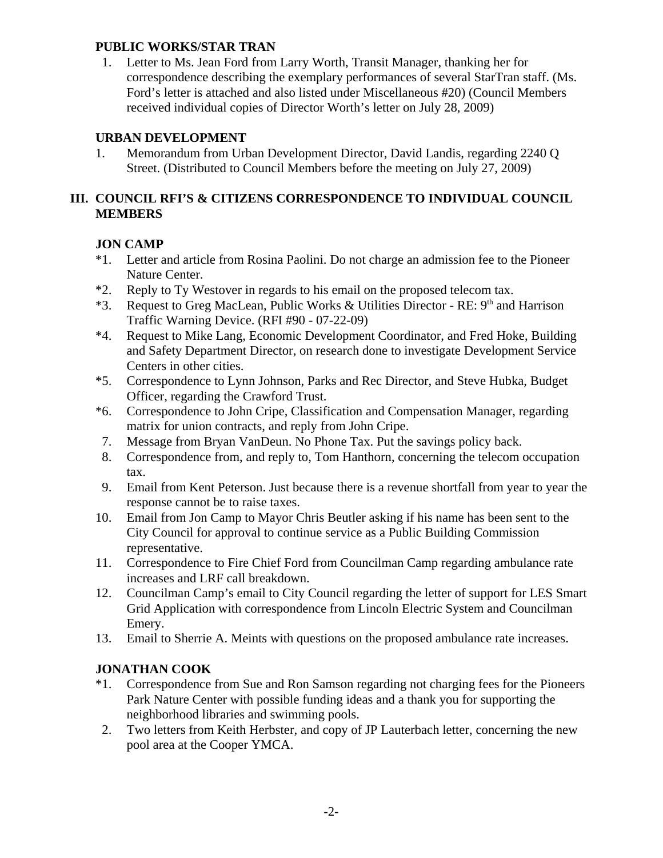### **PUBLIC WORKS/STAR TRAN**

 1. Letter to Ms. Jean Ford from Larry Worth, Transit Manager, thanking her for correspondence describing the exemplary performances of several StarTran staff. (Ms. Ford's letter is attached and also listed under Miscellaneous #20) (Council Members received individual copies of Director Worth's letter on July 28, 2009)

# **URBAN DEVELOPMENT**

1. Memorandum from Urban Development Director, David Landis, regarding 2240 Q Street. (Distributed to Council Members before the meeting on July 27, 2009)

# **III. COUNCIL RFI'S & CITIZENS CORRESPONDENCE TO INDIVIDUAL COUNCIL MEMBERS**

# **JON CAMP**

- \*1. Letter and article from Rosina Paolini. Do not charge an admission fee to the Pioneer Nature Center.
- \*2. Reply to Ty Westover in regards to his email on the proposed telecom tax.
- \*3. Request to Greg MacLean, Public Works & Utilities Director RE:  $9<sup>th</sup>$  and Harrison Traffic Warning Device. (RFI #90 - 07-22-09)
- \*4. Request to Mike Lang, Economic Development Coordinator, and Fred Hoke, Building and Safety Department Director, on research done to investigate Development Service Centers in other cities.
- \*5. Correspondence to Lynn Johnson, Parks and Rec Director, and Steve Hubka, Budget Officer, regarding the Crawford Trust.
- \*6. Correspondence to John Cripe, Classification and Compensation Manager, regarding matrix for union contracts, and reply from John Cripe.
- 7. Message from Bryan VanDeun. No Phone Tax. Put the savings policy back.
- 8. Correspondence from, and reply to, Tom Hanthorn, concerning the telecom occupation tax.
- 9. Email from Kent Peterson. Just because there is a revenue shortfall from year to year the response cannot be to raise taxes.
- 10. Email from Jon Camp to Mayor Chris Beutler asking if his name has been sent to the City Council for approval to continue service as a Public Building Commission representative.
- 11. Correspondence to Fire Chief Ford from Councilman Camp regarding ambulance rate increases and LRF call breakdown.
- 12. Councilman Camp's email to City Council regarding the letter of support for LES Smart Grid Application with correspondence from Lincoln Electric System and Councilman Emery.
- 13. Email to Sherrie A. Meints with questions on the proposed ambulance rate increases.

# **JONATHAN COOK**

- \*1. Correspondence from Sue and Ron Samson regarding not charging fees for the Pioneers Park Nature Center with possible funding ideas and a thank you for supporting the neighborhood libraries and swimming pools.
- 2. Two letters from Keith Herbster, and copy of JP Lauterbach letter, concerning the new pool area at the Cooper YMCA.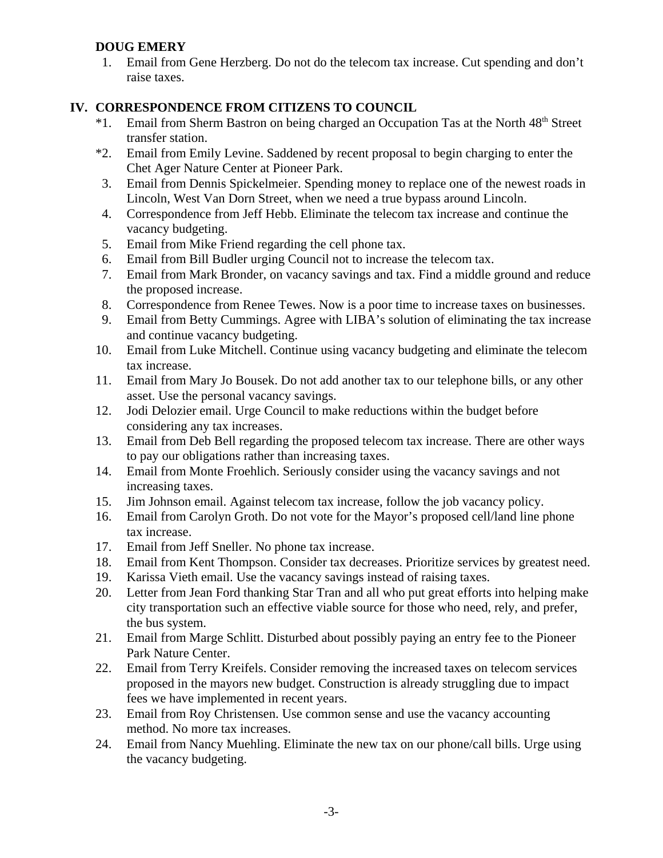# **DOUG EMERY**

 1. Email from Gene Herzberg. Do not do the telecom tax increase. Cut spending and don't raise taxes.

## **IV. CORRESPONDENCE FROM CITIZENS TO COUNCIL**

- <sup>\*1</sup>. Email from Sherm Bastron on being charged an Occupation Tas at the North 48<sup>th</sup> Street transfer station.
- \*2. Email from Emily Levine. Saddened by recent proposal to begin charging to enter the Chet Ager Nature Center at Pioneer Park.
- 3. Email from Dennis Spickelmeier. Spending money to replace one of the newest roads in Lincoln, West Van Dorn Street, when we need a true bypass around Lincoln.
- 4. Correspondence from Jeff Hebb. Eliminate the telecom tax increase and continue the vacancy budgeting.
- 5. Email from Mike Friend regarding the cell phone tax.
- 6. Email from Bill Budler urging Council not to increase the telecom tax.
- 7. Email from Mark Bronder, on vacancy savings and tax. Find a middle ground and reduce the proposed increase.
- 8. Correspondence from Renee Tewes. Now is a poor time to increase taxes on businesses.
- 9. Email from Betty Cummings. Agree with LIBA's solution of eliminating the tax increase and continue vacancy budgeting.
- 10. Email from Luke Mitchell. Continue using vacancy budgeting and eliminate the telecom tax increase.
- 11. Email from Mary Jo Bousek. Do not add another tax to our telephone bills, or any other asset. Use the personal vacancy savings.
- 12. Jodi Delozier email. Urge Council to make reductions within the budget before considering any tax increases.
- 13. Email from Deb Bell regarding the proposed telecom tax increase. There are other ways to pay our obligations rather than increasing taxes.
- 14. Email from Monte Froehlich. Seriously consider using the vacancy savings and not increasing taxes.
- 15. Jim Johnson email. Against telecom tax increase, follow the job vacancy policy.
- 16. Email from Carolyn Groth. Do not vote for the Mayor's proposed cell/land line phone tax increase.
- 17. Email from Jeff Sneller. No phone tax increase.
- 18. Email from Kent Thompson. Consider tax decreases. Prioritize services by greatest need.
- 19. Karissa Vieth email. Use the vacancy savings instead of raising taxes.
- 20. Letter from Jean Ford thanking Star Tran and all who put great efforts into helping make city transportation such an effective viable source for those who need, rely, and prefer, the bus system.
- 21. Email from Marge Schlitt. Disturbed about possibly paying an entry fee to the Pioneer Park Nature Center.
- 22. Email from Terry Kreifels. Consider removing the increased taxes on telecom services proposed in the mayors new budget. Construction is already struggling due to impact fees we have implemented in recent years.
- 23. Email from Roy Christensen. Use common sense and use the vacancy accounting method. No more tax increases.
- 24. Email from Nancy Muehling. Eliminate the new tax on our phone/call bills. Urge using the vacancy budgeting.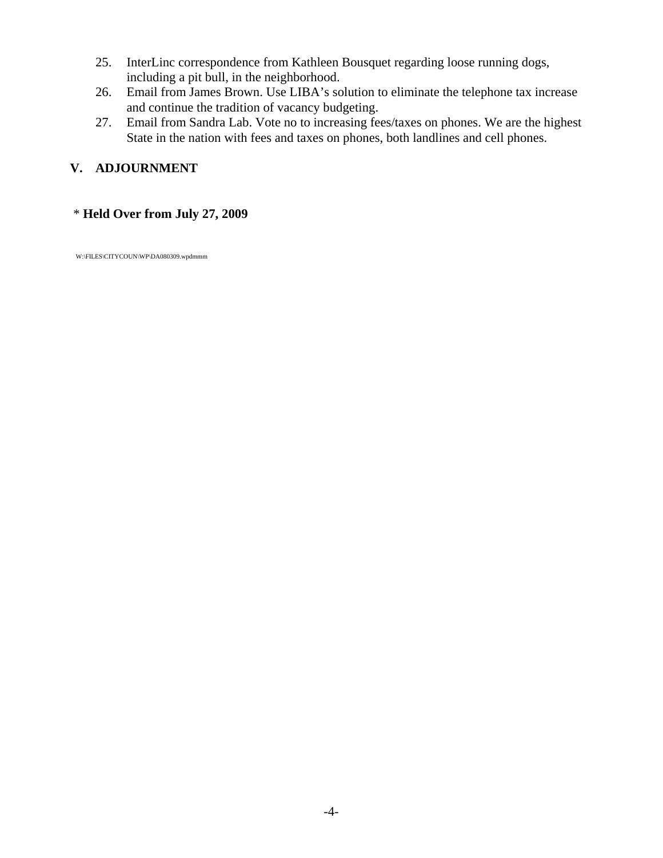- 25. InterLinc correspondence from Kathleen Bousquet regarding loose running dogs, including a pit bull, in the neighborhood.
- 26. Email from James Brown. Use LIBA's solution to eliminate the telephone tax increase and continue the tradition of vacancy budgeting.
- 27. Email from Sandra Lab. Vote no to increasing fees/taxes on phones. We are the highest State in the nation with fees and taxes on phones, both landlines and cell phones.

# **V. ADJOURNMENT**

### \* **Held Over from July 27, 2009**

W:\FILES\CITYCOUN\WP\DA080309.wpdmmm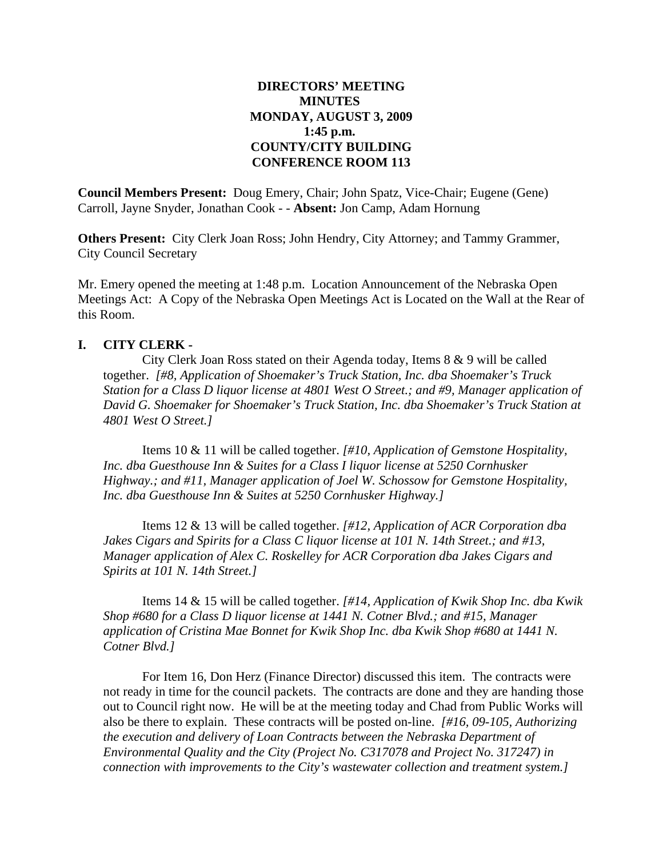### **DIRECTORS' MEETING MINUTES MONDAY, AUGUST 3, 2009 1:45 p.m. COUNTY/CITY BUILDING CONFERENCE ROOM 113**

**Council Members Present:** Doug Emery, Chair; John Spatz, Vice-Chair; Eugene (Gene) Carroll, Jayne Snyder, Jonathan Cook - - **Absent:** Jon Camp, Adam Hornung

**Others Present:** City Clerk Joan Ross; John Hendry, City Attorney; and Tammy Grammer, City Council Secretary

Mr. Emery opened the meeting at 1:48 p.m. Location Announcement of the Nebraska Open Meetings Act: A Copy of the Nebraska Open Meetings Act is Located on the Wall at the Rear of this Room.

#### **I. CITY CLERK -**

City Clerk Joan Ross stated on their Agenda today, Items 8 & 9 will be called together. *[#8, Application of Shoemaker's Truck Station, Inc. dba Shoemaker's Truck Station for a Class D liquor license at 4801 West O Street.; and #9, Manager application of David G. Shoemaker for Shoemaker's Truck Station, Inc. dba Shoemaker's Truck Station at 4801 West O Street.]*

Items 10 & 11 will be called together. *[#10, Application of Gemstone Hospitality, Inc. dba Guesthouse Inn & Suites for a Class I liquor license at 5250 Cornhusker Highway.; and #11, Manager application of Joel W. Schossow for Gemstone Hospitality, Inc. dba Guesthouse Inn & Suites at 5250 Cornhusker Highway.]*

Items 12 & 13 will be called together. *[#12, Application of ACR Corporation dba Jakes Cigars and Spirits for a Class C liquor license at 101 N. 14th Street.; and #13, Manager application of Alex C. Roskelley for ACR Corporation dba Jakes Cigars and Spirits at 101 N. 14th Street.]*

Items 14 & 15 will be called together. *[#14, Application of Kwik Shop Inc. dba Kwik Shop #680 for a Class D liquor license at 1441 N. Cotner Blvd.; and #15, Manager application of Cristina Mae Bonnet for Kwik Shop Inc. dba Kwik Shop #680 at 1441 N. Cotner Blvd.]*

For Item 16, Don Herz (Finance Director) discussed this item. The contracts were not ready in time for the council packets. The contracts are done and they are handing those out to Council right now. He will be at the meeting today and Chad from Public Works will also be there to explain. These contracts will be posted on-line. *[#16, 09-105, Authorizing the execution and delivery of Loan Contracts between the Nebraska Department of Environmental Quality and the City (Project No. C317078 and Project No. 317247) in connection with improvements to the City's wastewater collection and treatment system.]*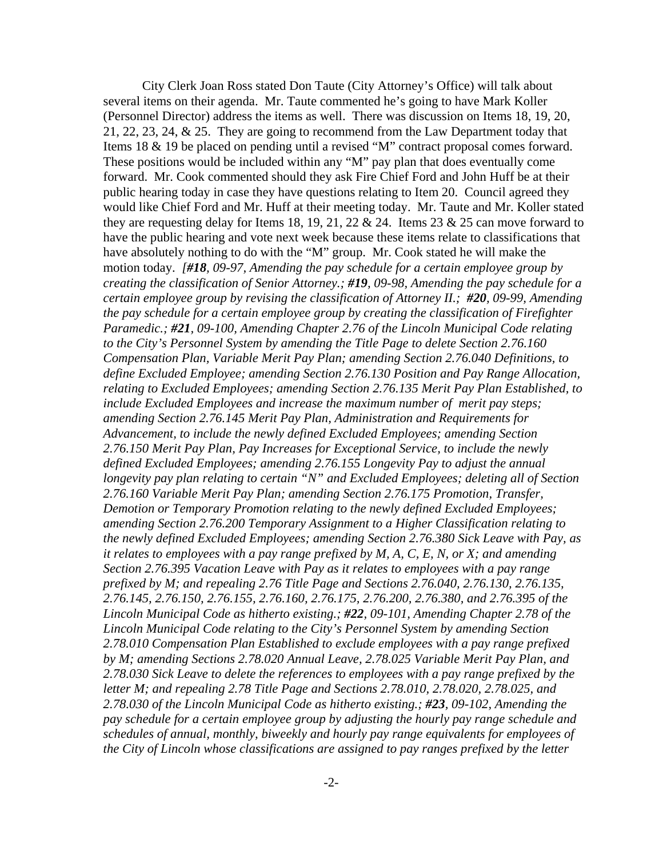City Clerk Joan Ross stated Don Taute (City Attorney's Office) will talk about several items on their agenda. Mr. Taute commented he's going to have Mark Koller (Personnel Director) address the items as well. There was discussion on Items 18, 19, 20, 21, 22, 23, 24, & 25. They are going to recommend from the Law Department today that Items 18 & 19 be placed on pending until a revised "M" contract proposal comes forward. These positions would be included within any "M" pay plan that does eventually come forward. Mr. Cook commented should they ask Fire Chief Ford and John Huff be at their public hearing today in case they have questions relating to Item 20. Council agreed they would like Chief Ford and Mr. Huff at their meeting today. Mr. Taute and Mr. Koller stated they are requesting delay for Items 18, 19, 21, 22  $& 24$ . Items 23  $& 25$  can move forward to have the public hearing and vote next week because these items relate to classifications that have absolutely nothing to do with the "M" group. Mr. Cook stated he will make the motion today. *[#18, 09-97, Amending the pay schedule for a certain employee group by creating the classification of Senior Attorney.; #19, 09-98, Amending the pay schedule for a certain employee group by revising the classification of Attorney II.; #20, 09-99, Amending the pay schedule for a certain employee group by creating the classification of Firefighter Paramedic.; #21, 09-100, Amending Chapter 2.76 of the Lincoln Municipal Code relating to the City's Personnel System by amending the Title Page to delete Section 2.76.160 Compensation Plan, Variable Merit Pay Plan; amending Section 2.76.040 Definitions, to define Excluded Employee; amending Section 2.76.130 Position and Pay Range Allocation, relating to Excluded Employees; amending Section 2.76.135 Merit Pay Plan Established, to include Excluded Employees and increase the maximum number of merit pay steps; amending Section 2.76.145 Merit Pay Plan, Administration and Requirements for Advancement, to include the newly defined Excluded Employees; amending Section 2.76.150 Merit Pay Plan, Pay Increases for Exceptional Service, to include the newly defined Excluded Employees; amending 2.76.155 Longevity Pay to adjust the annual longevity pay plan relating to certain "N" and Excluded Employees; deleting all of Section 2.76.160 Variable Merit Pay Plan; amending Section 2.76.175 Promotion, Transfer, Demotion or Temporary Promotion relating to the newly defined Excluded Employees; amending Section 2.76.200 Temporary Assignment to a Higher Classification relating to the newly defined Excluded Employees; amending Section 2.76.380 Sick Leave with Pay, as it relates to employees with a pay range prefixed by M, A, C, E, N, or X; and amending Section 2.76.395 Vacation Leave with Pay as it relates to employees with a pay range prefixed by M; and repealing 2.76 Title Page and Sections 2.76.040, 2.76.130, 2.76.135, 2.76.145, 2.76.150, 2.76.155, 2.76.160, 2.76.175, 2.76.200, 2.76.380, and 2.76.395 of the Lincoln Municipal Code as hitherto existing.; #22, 09-101, Amending Chapter 2.78 of the Lincoln Municipal Code relating to the City's Personnel System by amending Section 2.78.010 Compensation Plan Established to exclude employees with a pay range prefixed by M; amending Sections 2.78.020 Annual Leave, 2.78.025 Variable Merit Pay Plan, and 2.78.030 Sick Leave to delete the references to employees with a pay range prefixed by the letter M; and repealing 2.78 Title Page and Sections 2.78.010, 2.78.020, 2.78.025, and 2.78.030 of the Lincoln Municipal Code as hitherto existing.; #23, 09-102, Amending the pay schedule for a certain employee group by adjusting the hourly pay range schedule and schedules of annual, monthly, biweekly and hourly pay range equivalents for employees of the City of Lincoln whose classifications are assigned to pay ranges prefixed by the letter*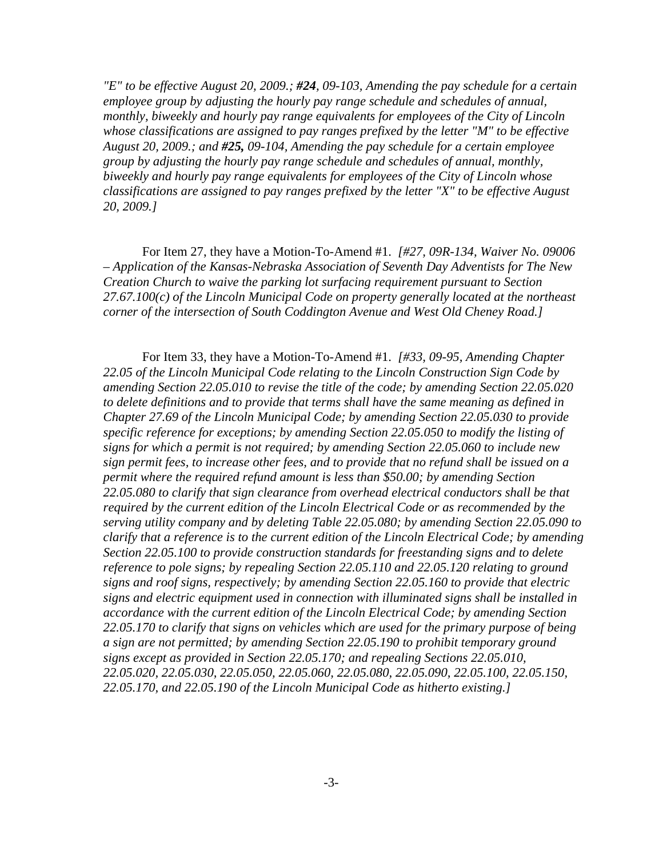*"E" to be effective August 20, 2009.; #24, 09-103, Amending the pay schedule for a certain employee group by adjusting the hourly pay range schedule and schedules of annual, monthly, biweekly and hourly pay range equivalents for employees of the City of Lincoln whose classifications are assigned to pay ranges prefixed by the letter "M" to be effective August 20, 2009.; and #25, 09-104, Amending the pay schedule for a certain employee group by adjusting the hourly pay range schedule and schedules of annual, monthly, biweekly and hourly pay range equivalents for employees of the City of Lincoln whose classifications are assigned to pay ranges prefixed by the letter "X" to be effective August 20, 2009.]*

For Item 27, they have a Motion-To-Amend #1. *[#27, 09R-134, Waiver No. 09006 – Application of the Kansas-Nebraska Association of Seventh Day Adventists for The New Creation Church to waive the parking lot surfacing requirement pursuant to Section 27.67.100(c) of the Lincoln Municipal Code on property generally located at the northeast corner of the intersection of South Coddington Avenue and West Old Cheney Road.]*

For Item 33, they have a Motion-To-Amend #1. *[#33, 09-95, Amending Chapter 22.05 of the Lincoln Municipal Code relating to the Lincoln Construction Sign Code by amending Section 22.05.010 to revise the title of the code; by amending Section 22.05.020 to delete definitions and to provide that terms shall have the same meaning as defined in Chapter 27.69 of the Lincoln Municipal Code; by amending Section 22.05.030 to provide specific reference for exceptions; by amending Section 22.05.050 to modify the listing of signs for which a permit is not required; by amending Section 22.05.060 to include new sign permit fees, to increase other fees, and to provide that no refund shall be issued on a permit where the required refund amount is less than \$50.00; by amending Section 22.05.080 to clarify that sign clearance from overhead electrical conductors shall be that required by the current edition of the Lincoln Electrical Code or as recommended by the serving utility company and by deleting Table 22.05.080; by amending Section 22.05.090 to clarify that a reference is to the current edition of the Lincoln Electrical Code; by amending Section 22.05.100 to provide construction standards for freestanding signs and to delete reference to pole signs; by repealing Section 22.05.110 and 22.05.120 relating to ground signs and roof signs, respectively; by amending Section 22.05.160 to provide that electric signs and electric equipment used in connection with illuminated signs shall be installed in accordance with the current edition of the Lincoln Electrical Code; by amending Section 22.05.170 to clarify that signs on vehicles which are used for the primary purpose of being a sign are not permitted; by amending Section 22.05.190 to prohibit temporary ground signs except as provided in Section 22.05.170; and repealing Sections 22.05.010, 22.05.020, 22.05.030, 22.05.050, 22.05.060, 22.05.080, 22.05.090, 22.05.100, 22.05.150, 22.05.170, and 22.05.190 of the Lincoln Municipal Code as hitherto existing.]*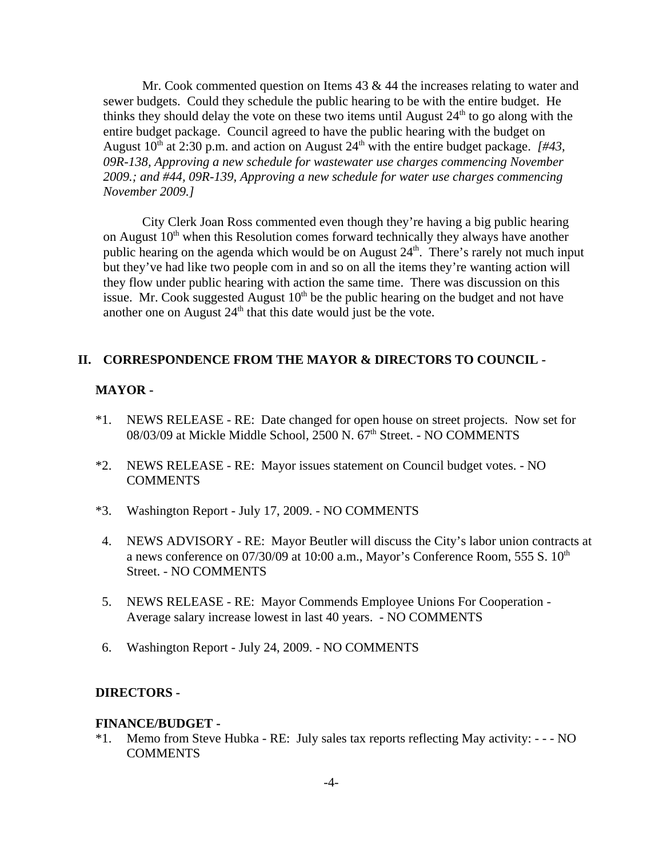Mr. Cook commented question on Items 43 & 44 the increases relating to water and sewer budgets. Could they schedule the public hearing to be with the entire budget. He thinks they should delay the vote on these two items until August  $24<sup>th</sup>$  to go along with the entire budget package. Council agreed to have the public hearing with the budget on August  $10^{th}$  at 2:30 p.m. and action on August  $24^{th}$  with the entire budget package. *[#43, 09R-138, Approving a new schedule for wastewater use charges commencing November 2009.; and #44, 09R-139, Approving a new schedule for water use charges commencing November 2009.]*

City Clerk Joan Ross commented even though they're having a big public hearing on August  $10<sup>th</sup>$  when this Resolution comes forward technically they always have another public hearing on the agenda which would be on August  $24<sup>th</sup>$ . There's rarely not much input but they've had like two people com in and so on all the items they're wanting action will they flow under public hearing with action the same time. There was discussion on this issue. Mr. Cook suggested August  $10<sup>th</sup>$  be the public hearing on the budget and not have another one on August  $24<sup>th</sup>$  that this date would just be the vote.

#### **II. CORRESPONDENCE FROM THE MAYOR & DIRECTORS TO COUNCIL -**

#### **MAYOR -**

- \*1. NEWS RELEASE RE: Date changed for open house on street projects. Now set for 08/03/09 at Mickle Middle School, 2500 N. 67<sup>th</sup> Street. - NO COMMENTS
- \*2. NEWS RELEASE RE: Mayor issues statement on Council budget votes. NO **COMMENTS**
- \*3. Washington Report July 17, 2009. NO COMMENTS
- 4. NEWS ADVISORY RE: Mayor Beutler will discuss the City's labor union contracts at a news conference on  $07/30/09$  at 10:00 a.m., Mayor's Conference Room, 555 S.  $10<sup>th</sup>$ Street. - NO COMMENTS
- 5. NEWS RELEASE RE: Mayor Commends Employee Unions For Cooperation Average salary increase lowest in last 40 years. - NO COMMENTS
- 6. Washington Report July 24, 2009. NO COMMENTS

#### **DIRECTORS -**

#### **FINANCE/BUDGET -**

\*1. Memo from Steve Hubka - RE: July sales tax reports reflecting May activity: - - - NO **COMMENTS**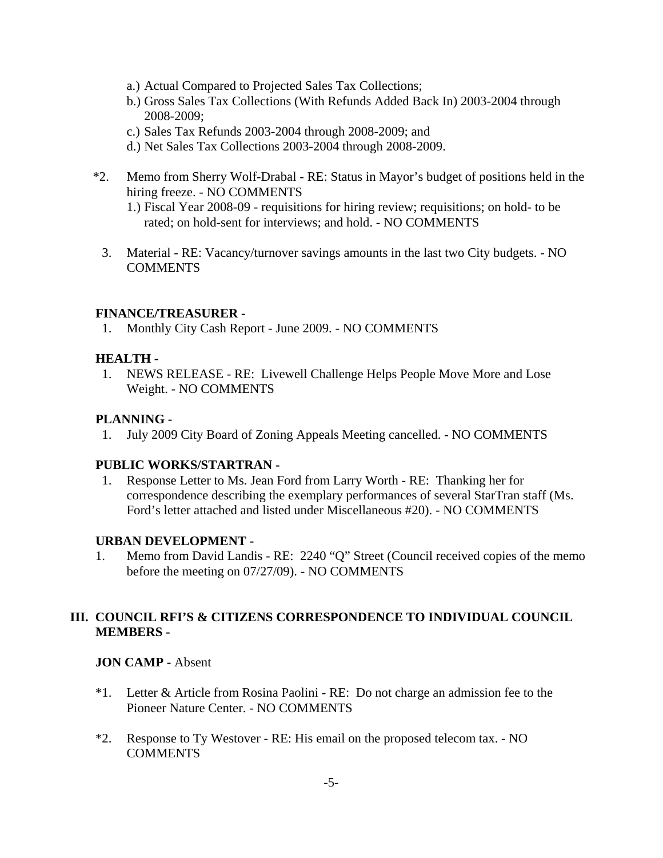- a.) Actual Compared to Projected Sales Tax Collections;
- b.) Gross Sales Tax Collections (With Refunds Added Back In) 2003-2004 through 2008-2009;
- c.) Sales Tax Refunds 2003-2004 through 2008-2009; and
- d.) Net Sales Tax Collections 2003-2004 through 2008-2009.
- \*2. Memo from Sherry Wolf-Drabal RE: Status in Mayor's budget of positions held in the hiring freeze. - NO COMMENTS
	- 1.) Fiscal Year 2008-09 requisitions for hiring review; requisitions; on hold- to be rated; on hold-sent for interviews; and hold. - NO COMMENTS
	- 3. Material RE: Vacancy/turnover savings amounts in the last two City budgets. NO **COMMENTS**

### **FINANCE/TREASURER -**

1. Monthly City Cash Report - June 2009. - NO COMMENTS

#### **HEALTH -**

 1. NEWS RELEASE - RE: Livewell Challenge Helps People Move More and Lose Weight. - NO COMMENTS

### **PLANNING -**

1. July 2009 City Board of Zoning Appeals Meeting cancelled. - NO COMMENTS

### **PUBLIC WORKS/STARTRAN -**

 1. Response Letter to Ms. Jean Ford from Larry Worth - RE: Thanking her for correspondence describing the exemplary performances of several StarTran staff (Ms. Ford's letter attached and listed under Miscellaneous #20). - NO COMMENTS

#### **URBAN DEVELOPMENT -**

1. Memo from David Landis - RE: 2240 "Q" Street (Council received copies of the memo before the meeting on 07/27/09). - NO COMMENTS

### **III. COUNCIL RFI'S & CITIZENS CORRESPONDENCE TO INDIVIDUAL COUNCIL MEMBERS -**

#### **JON CAMP -** Absent

- \*1. Letter & Article from Rosina Paolini RE: Do not charge an admission fee to the Pioneer Nature Center. - NO COMMENTS
- \*2. Response to Ty Westover RE: His email on the proposed telecom tax. NO COMMENTS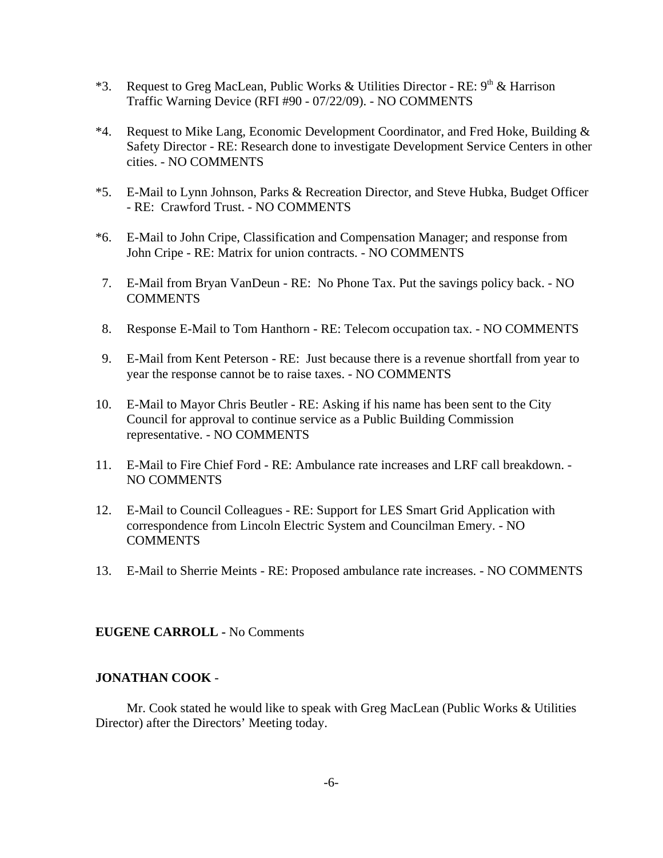- \*3. Request to Greg MacLean, Public Works & Utilities Director RE:  $9<sup>th</sup>$  & Harrison Traffic Warning Device (RFI #90 - 07/22/09). - NO COMMENTS
- \*4. Request to Mike Lang, Economic Development Coordinator, and Fred Hoke, Building & Safety Director - RE: Research done to investigate Development Service Centers in other cities. - NO COMMENTS
- \*5. E-Mail to Lynn Johnson, Parks & Recreation Director, and Steve Hubka, Budget Officer - RE: Crawford Trust. - NO COMMENTS
- \*6. E-Mail to John Cripe, Classification and Compensation Manager; and response from John Cripe - RE: Matrix for union contracts. - NO COMMENTS
- 7. E-Mail from Bryan VanDeun RE: No Phone Tax. Put the savings policy back. NO **COMMENTS**
- 8. Response E-Mail to Tom Hanthorn RE: Telecom occupation tax. NO COMMENTS
- 9. E-Mail from Kent Peterson RE: Just because there is a revenue shortfall from year to year the response cannot be to raise taxes. - NO COMMENTS
- 10. E-Mail to Mayor Chris Beutler RE: Asking if his name has been sent to the City Council for approval to continue service as a Public Building Commission representative. - NO COMMENTS
- 11. E-Mail to Fire Chief Ford RE: Ambulance rate increases and LRF call breakdown. NO COMMENTS
- 12. E-Mail to Council Colleagues RE: Support for LES Smart Grid Application with correspondence from Lincoln Electric System and Councilman Emery. - NO COMMENTS
- 13. E-Mail to Sherrie Meints RE: Proposed ambulance rate increases. NO COMMENTS

#### **EUGENE CARROLL -** No Comments

#### **JONATHAN COOK** -

Mr. Cook stated he would like to speak with Greg MacLean (Public Works & Utilities Director) after the Directors' Meeting today.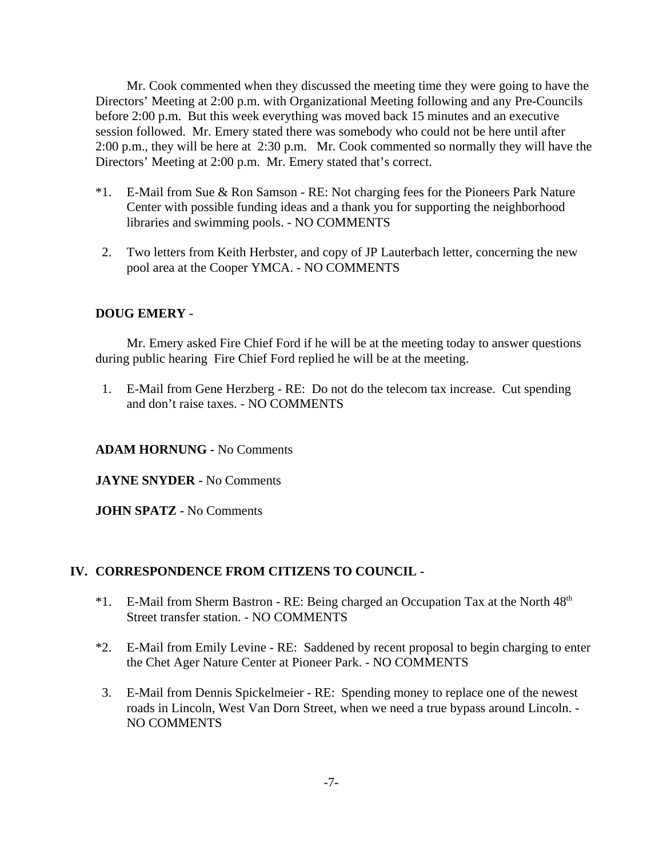Mr. Cook commented when they discussed the meeting time they were going to have the Directors' Meeting at 2:00 p.m. with Organizational Meeting following and any Pre-Councils before 2:00 p.m. But this week everything was moved back 15 minutes and an executive session followed. Mr. Emery stated there was somebody who could not be here until after 2:00 p.m., they will be here at 2:30 p.m. Mr. Cook commented so normally they will have the Directors' Meeting at 2:00 p.m. Mr. Emery stated that's correct.

- \*1. E-Mail from Sue & Ron Samson RE: Not charging fees for the Pioneers Park Nature Center with possible funding ideas and a thank you for supporting the neighborhood libraries and swimming pools. - NO COMMENTS
- 2. Two letters from Keith Herbster, and copy of JP Lauterbach letter, concerning the new pool area at the Cooper YMCA. - NO COMMENTS

#### **DOUG EMERY -**

Mr. Emery asked Fire Chief Ford if he will be at the meeting today to answer questions during public hearing Fire Chief Ford replied he will be at the meeting.

 1. E-Mail from Gene Herzberg - RE: Do not do the telecom tax increase. Cut spending and don't raise taxes. - NO COMMENTS

#### **ADAM HORNUNG -** No Comments

**JAYNE SNYDER -** No Comments

**JOHN SPATZ -** No Comments

#### **IV. CORRESPONDENCE FROM CITIZENS TO COUNCIL -**

- $*1.$  E-Mail from Sherm Bastron RE: Being charged an Occupation Tax at the North  $48<sup>th</sup>$ Street transfer station. - NO COMMENTS
- \*2. E-Mail from Emily Levine RE: Saddened by recent proposal to begin charging to enter the Chet Ager Nature Center at Pioneer Park. - NO COMMENTS
- 3. E-Mail from Dennis Spickelmeier RE: Spending money to replace one of the newest roads in Lincoln, West Van Dorn Street, when we need a true bypass around Lincoln. - NO COMMENTS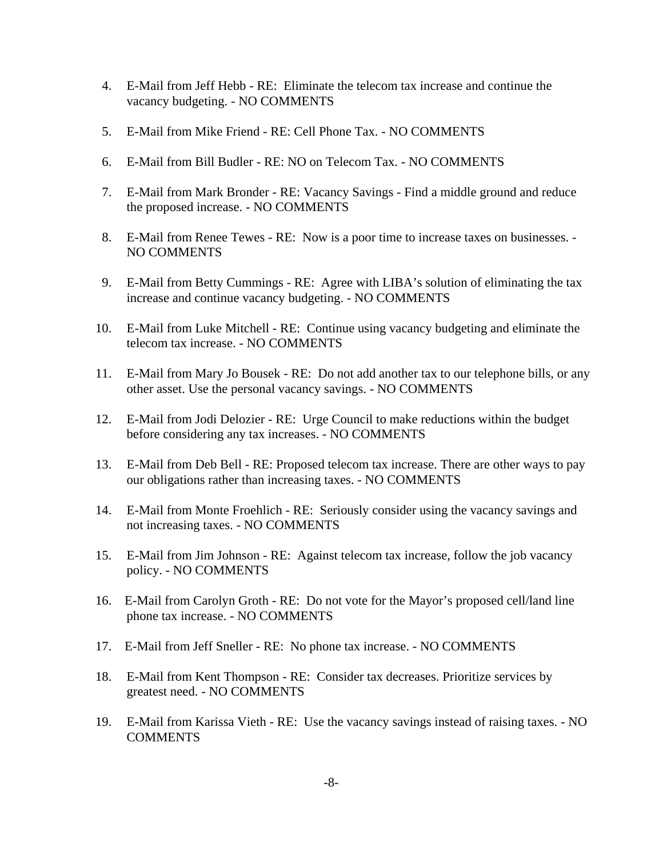- 4. E-Mail from Jeff Hebb RE: Eliminate the telecom tax increase and continue the vacancy budgeting. - NO COMMENTS
- 5. E-Mail from Mike Friend RE: Cell Phone Tax. NO COMMENTS
- 6. E-Mail from Bill Budler RE: NO on Telecom Tax. NO COMMENTS
- 7. E-Mail from Mark Bronder RE: Vacancy Savings Find a middle ground and reduce the proposed increase. - NO COMMENTS
- 8. E-Mail from Renee Tewes RE: Now is a poor time to increase taxes on businesses. NO COMMENTS
- 9. E-Mail from Betty Cummings RE: Agree with LIBA's solution of eliminating the tax increase and continue vacancy budgeting. - NO COMMENTS
- 10. E-Mail from Luke Mitchell RE: Continue using vacancy budgeting and eliminate the telecom tax increase. - NO COMMENTS
- 11. E-Mail from Mary Jo Bousek RE: Do not add another tax to our telephone bills, or any other asset. Use the personal vacancy savings. - NO COMMENTS
- 12. E-Mail from Jodi Delozier RE: Urge Council to make reductions within the budget before considering any tax increases. - NO COMMENTS
- 13. E-Mail from Deb Bell RE: Proposed telecom tax increase. There are other ways to pay our obligations rather than increasing taxes. - NO COMMENTS
- 14. E-Mail from Monte Froehlich RE: Seriously consider using the vacancy savings and not increasing taxes. - NO COMMENTS
- 15. E-Mail from Jim Johnson RE: Against telecom tax increase, follow the job vacancy policy. - NO COMMENTS
- 16. E-Mail from Carolyn Groth RE: Do not vote for the Mayor's proposed cell/land line phone tax increase. - NO COMMENTS
- 17. E-Mail from Jeff Sneller RE: No phone tax increase. NO COMMENTS
- 18. E-Mail from Kent Thompson RE: Consider tax decreases. Prioritize services by greatest need. - NO COMMENTS
- 19. E-Mail from Karissa Vieth RE: Use the vacancy savings instead of raising taxes. NO COMMENTS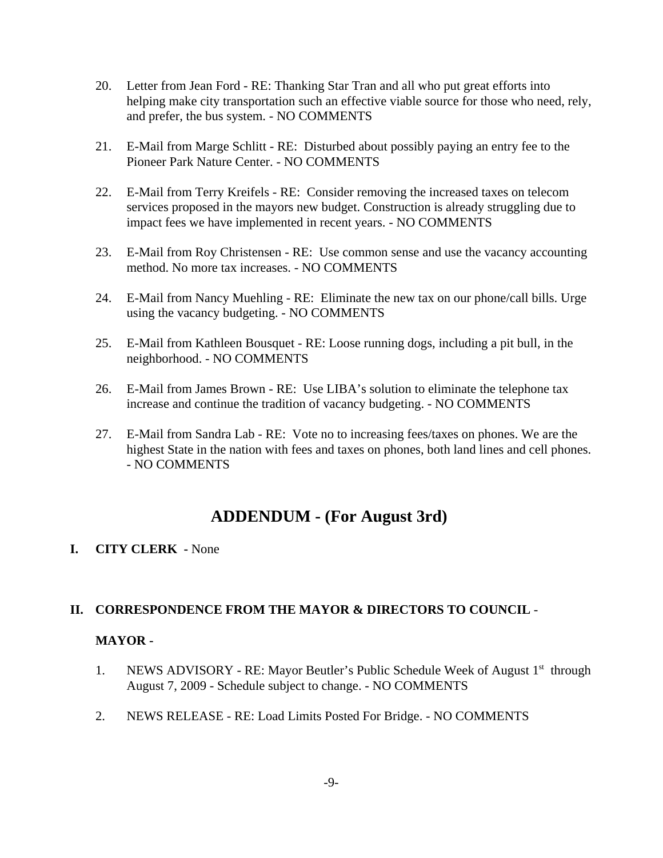- 20. Letter from Jean Ford RE: Thanking Star Tran and all who put great efforts into helping make city transportation such an effective viable source for those who need, rely, and prefer, the bus system. - NO COMMENTS
- 21. E-Mail from Marge Schlitt RE: Disturbed about possibly paying an entry fee to the Pioneer Park Nature Center. - NO COMMENTS
- 22. E-Mail from Terry Kreifels RE: Consider removing the increased taxes on telecom services proposed in the mayors new budget. Construction is already struggling due to impact fees we have implemented in recent years. - NO COMMENTS
- 23. E-Mail from Roy Christensen RE: Use common sense and use the vacancy accounting method. No more tax increases. - NO COMMENTS
- 24. E-Mail from Nancy Muehling RE: Eliminate the new tax on our phone/call bills. Urge using the vacancy budgeting. - NO COMMENTS
- 25. E-Mail from Kathleen Bousquet RE: Loose running dogs, including a pit bull, in the neighborhood. - NO COMMENTS
- 26. E-Mail from James Brown RE: Use LIBA's solution to eliminate the telephone tax increase and continue the tradition of vacancy budgeting. - NO COMMENTS
- 27. E-Mail from Sandra Lab RE: Vote no to increasing fees/taxes on phones. We are the highest State in the nation with fees and taxes on phones, both land lines and cell phones. - NO COMMENTS

# **ADDENDUM - (For August 3rd)**

#### **I. CITY CLERK -** None

### **II. CORRESPONDENCE FROM THE MAYOR & DIRECTORS TO COUNCIL** -

#### **MAYOR -**

- 1. NEWS ADVISORY RE: Mayor Beutler's Public Schedule Week of August  $1<sup>st</sup>$  through August 7, 2009 - Schedule subject to change. - NO COMMENTS
- 2. NEWS RELEASE RE: Load Limits Posted For Bridge. NO COMMENTS